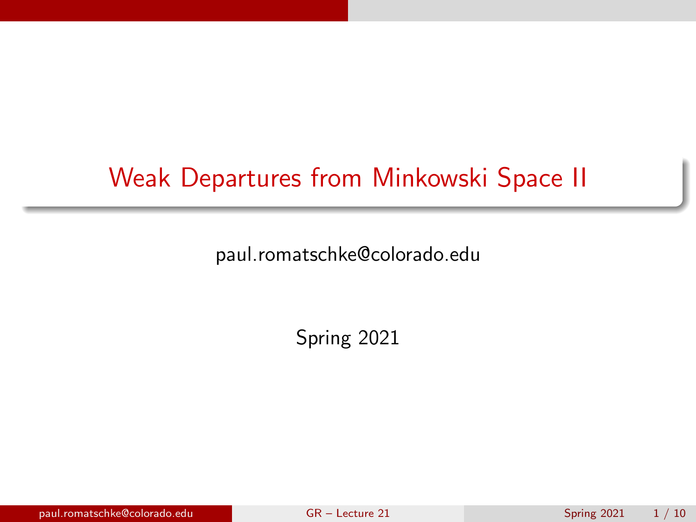# <span id="page-0-0"></span>Weak Departures from Minkowski Space II

paul.romatschke@colorado.edu

Spring 2021

paul.romatschke@colorado.edu [GR – Lecture 21](#page-9-0) Spring 2021 1 / 10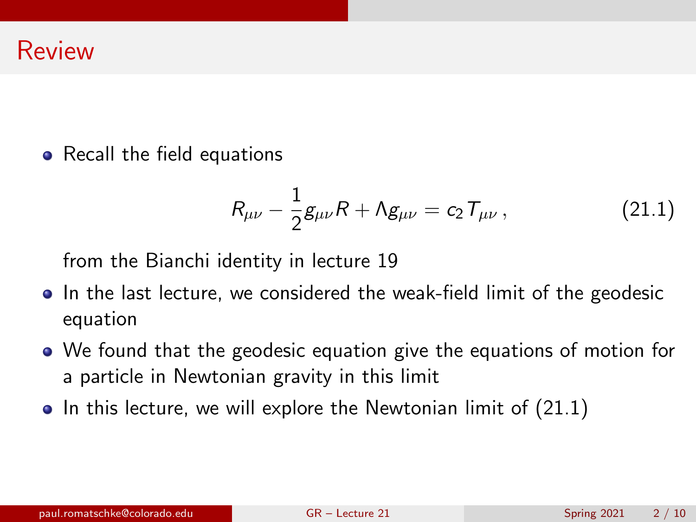• Recall the field equations

<span id="page-1-0"></span>
$$
R_{\mu\nu} - \frac{1}{2}g_{\mu\nu}R + \Lambda g_{\mu\nu} = c_2 T_{\mu\nu}, \qquad (21.1)
$$

from the Bianchi identity in lecture 19

- In the last lecture, we considered the weak-field limit of the geodesic equation
- We found that the geodesic equation give the equations of motion for a particle in Newtonian gravity in this limit
- $\bullet$  In this lecture, we will explore the Newtonian limit of  $(21.1)$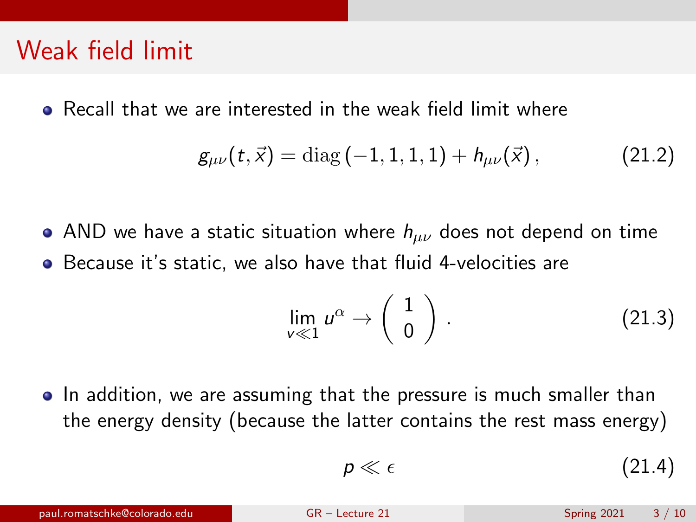#### Weak field limit

Recall that we are interested in the weak field limit where

$$
g_{\mu\nu}(t,\vec{x}) = \text{diag}(-1,1,1,1) + h_{\mu\nu}(\vec{x}), \qquad (21.2)
$$

• AND we have a static situation where  $h_{\mu\nu}$  does not depend on time Because it's static, we also have that fluid 4-velocities are

$$
\lim_{v \ll 1} u^{\alpha} \to \begin{pmatrix} 1 \\ 0 \end{pmatrix} . \tag{21.3}
$$

• In addition, we are assuming that the pressure is much smaller than the energy density (because the latter contains the rest mass energy)

$$
p \ll \epsilon \tag{21.4}
$$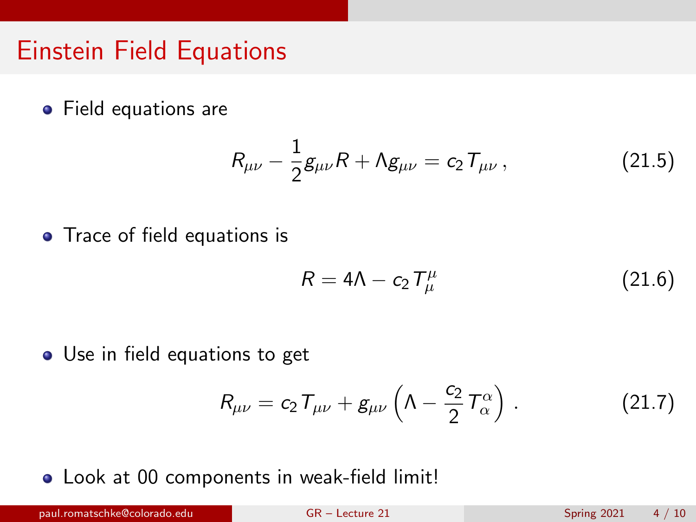## Einstein Field Equations

• Field equations are

$$
R_{\mu\nu} - \frac{1}{2}g_{\mu\nu}R + \Lambda g_{\mu\nu} = c_2 T_{\mu\nu}, \qquad (21.5)
$$

• Trace of field equations is

$$
R = 4\Lambda - c_2 T^{\mu}_{\mu} \tag{21.6}
$$

• Use in field equations to get

$$
R_{\mu\nu}=c_2T_{\mu\nu}+g_{\mu\nu}\left(\Lambda-\frac{c_2}{2}T_{\alpha}^{\alpha}\right).
$$
 (21.7)

Look at 00 components in weak-field limit!

paul.romatschke@colorado.edu [GR – Lecture 21](#page-0-0) Spring 2021 4 / 10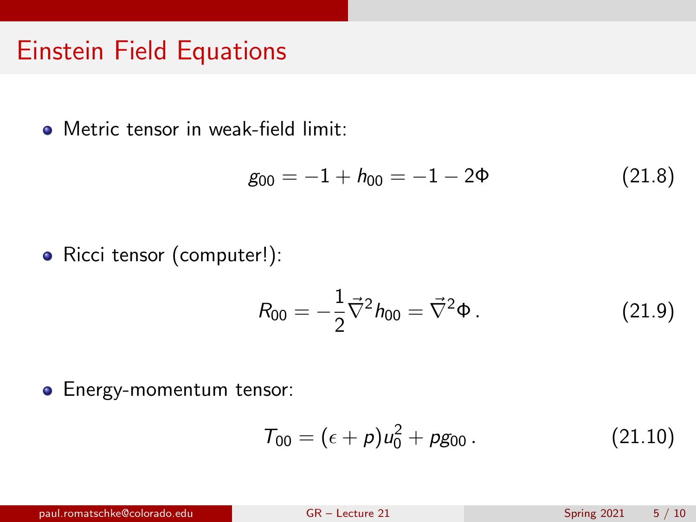#### Einstein Field Equations

Metric tensor in weak-field limit:

$$
g_{00} = -1 + h_{00} = -1 - 2\Phi \tag{21.8}
$$

• Ricci tensor (computer!):

$$
R_{00} = -\frac{1}{2}\vec{\nabla}^2 h_{00} = \vec{\nabla}^2 \Phi.
$$
 (21.9)

**•** Energy-momentum tensor:

$$
T_{00} = (\epsilon + p)u_0^2 + pg_{00}.
$$
 (21.10)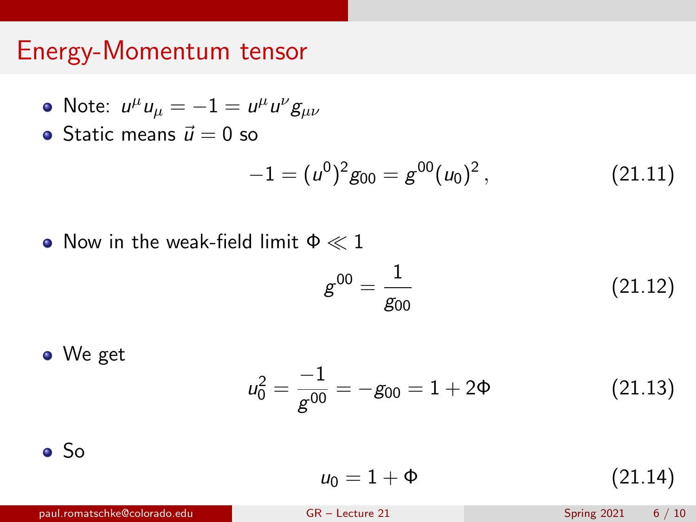# Energy-Momentum tensor

• Note: 
$$
u^{\mu}u_{\mu} = -1 = u^{\mu}u^{\nu}g_{\mu\nu}
$$

• Static means  $\vec{u} = 0$  so

$$
-1 = (u^0)^2 g_{00} = g^{00} (u_0)^2, \qquad (21.11)
$$

• Now in the weak-field limit  $\Phi \ll 1$ 

$$
g^{00} = \frac{1}{g_{00}} \tag{21.12}
$$

• We get 
$$
u_0^2 = \frac{-1}{g^{00}} = -g_{00} = 1 + 2\Phi
$$
 (21.13)

So

$$
u_0 = 1 + \Phi \tag{21.14}
$$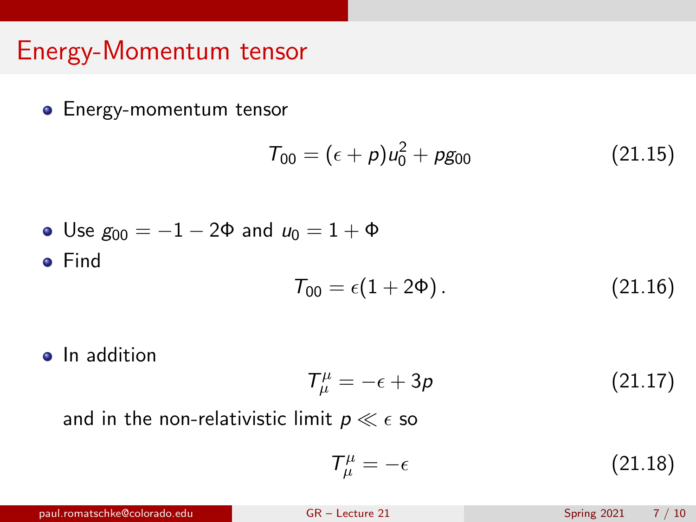# Energy-Momentum tensor

**•** Energy-momentum tensor

$$
T_{00} = (\epsilon + p)u_0^2 + pg_{00}
$$
 (21.15)

• Use 
$$
g_{00} = -1 - 2\Phi
$$
 and  $u_0 = 1 + \Phi$   
• Find

$$
T_{00} = \epsilon (1 + 2\Phi). \tag{21.16}
$$

• In addition

$$
T^{\mu}_{\mu} = -\epsilon + 3p \tag{21.17}
$$

and in the non-relativistic limit  $p \ll \epsilon$  so

$$
T^{\mu}_{\mu} = -\epsilon \tag{21.18}
$$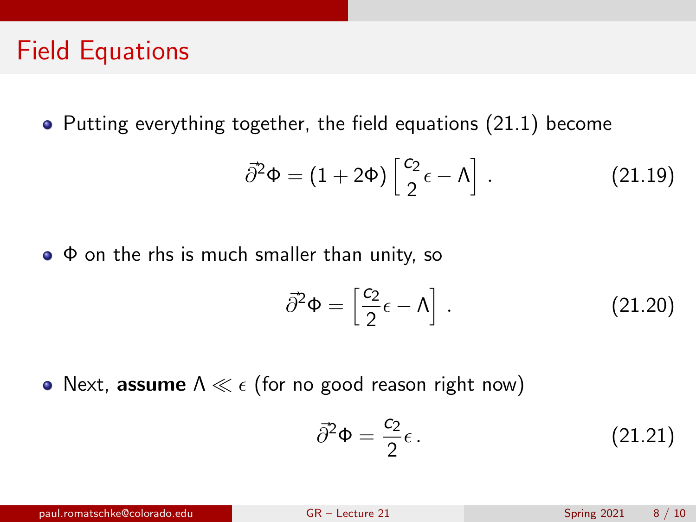### Field Equations

 $\bullet$  Putting everything together, the field equations [\(21.1\)](#page-1-0) become

$$
\vec{\partial}^2 \Phi = (1 + 2\Phi) \left[ \frac{c_2}{2} \epsilon - \Lambda \right]. \tag{21.19}
$$

 $\bullet$   $\Phi$  on the rhs is much smaller than unity, so

$$
\vec{\partial}^2 \Phi = \left[\frac{c_2}{2} \epsilon - \Lambda\right]. \tag{21.20}
$$

• Next, assume  $\Lambda \ll \epsilon$  (for no good reason right now)

$$
\vec{\partial}^2 \Phi = \frac{c_2}{2} \epsilon \,. \tag{21.21}
$$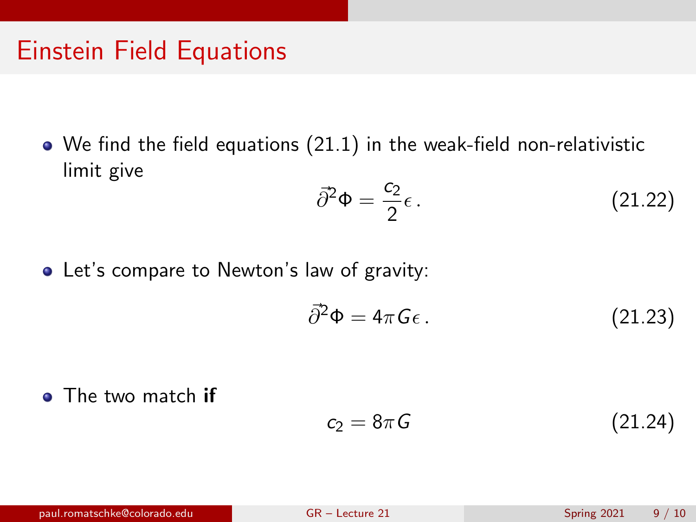## Einstein Field Equations

We find the field equations [\(21.1\)](#page-1-0) in the weak-field non-relativistic limit give

$$
\bar{\partial}^2 \Phi = \frac{c_2}{2} \epsilon \,. \tag{21.22}
$$

Let's compare to Newton's law of gravity:

$$
\vec{\partial}^2 \Phi = 4\pi G \epsilon \,. \tag{21.23}
$$

• The two match if

$$
c_2 = 8\pi G \tag{21.24}
$$